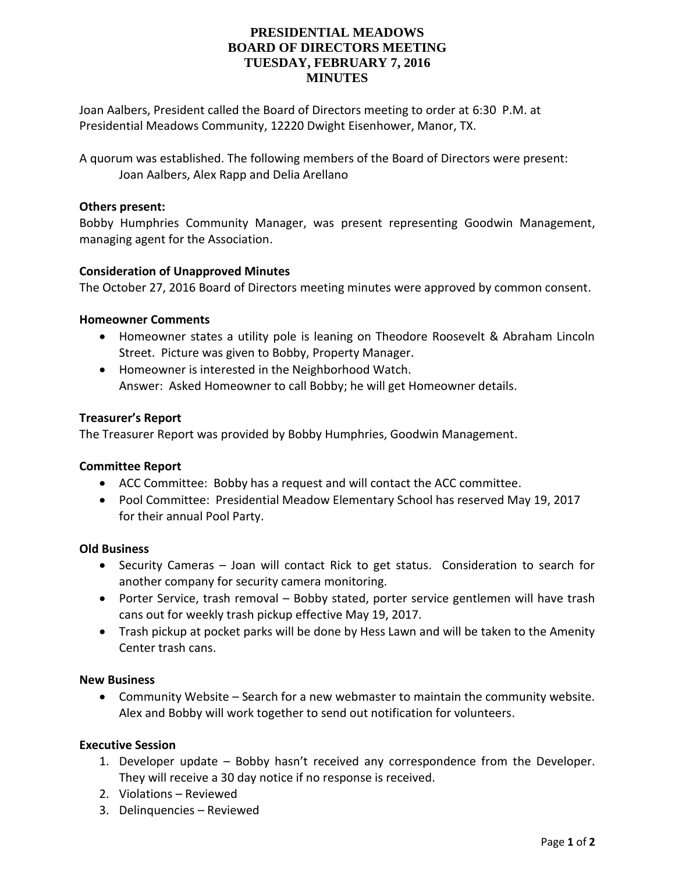# **PRESIDENTIAL MEADOWS BOARD OF DIRECTORS MEETING TUESDAY, FEBRUARY 7, 2016 MINUTES**

Joan Aalbers, President called the Board of Directors meeting to order at 6:30 P.M. at Presidential Meadows Community, 12220 Dwight Eisenhower, Manor, TX.

A quorum was established. The following members of the Board of Directors were present: Joan Aalbers, Alex Rapp and Delia Arellano

## **Others present:**

Bobby Humphries Community Manager, was present representing Goodwin Management, managing agent for the Association.

## **Consideration of Unapproved Minutes**

The October 27, 2016 Board of Directors meeting minutes were approved by common consent.

#### **Homeowner Comments**

- Homeowner states a utility pole is leaning on Theodore Roosevelt & Abraham Lincoln Street. Picture was given to Bobby, Property Manager.
- Homeowner is interested in the Neighborhood Watch. Answer: Asked Homeowner to call Bobby; he will get Homeowner details.

#### **Treasurer's Report**

The Treasurer Report was provided by Bobby Humphries, Goodwin Management.

#### **Committee Report**

- ACC Committee: Bobby has a request and will contact the ACC committee.
- Pool Committee: Presidential Meadow Elementary School has reserved May 19, 2017 for their annual Pool Party.

### **Old Business**

- Security Cameras Joan will contact Rick to get status. Consideration to search for another company for security camera monitoring.
- Porter Service, trash removal Bobby stated, porter service gentlemen will have trash cans out for weekly trash pickup effective May 19, 2017.
- Trash pickup at pocket parks will be done by Hess Lawn and will be taken to the Amenity Center trash cans.

# **New Business**

 Community Website – Search for a new webmaster to maintain the community website. Alex and Bobby will work together to send out notification for volunteers.

## **Executive Session**

- 1. Developer update Bobby hasn't received any correspondence from the Developer. They will receive a 30 day notice if no response is received.
- 2. Violations Reviewed
- 3. Delinquencies Reviewed